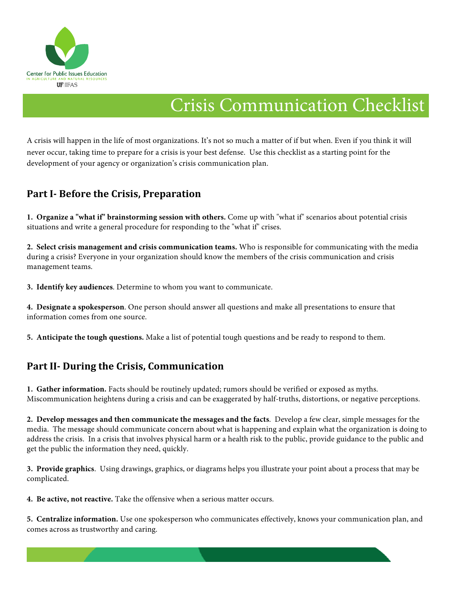

# Crisis Communication Checklist

A crisis will happen in the life of most organizations. It's not so much a matter of if but when. Even if you think it will never occur, taking time to prepare for a crisis is your best defense. Use this checklist as a starting point for the development of your agency or organization's crisis communication plan.

### **Part I-** Before the Crisis, Preparation

**1. Organize a "what if" brainstorming session with others.** Come up with "what if" scenarios about potential crisis situations and write a general procedure for responding to the "what if" crises.

**2. Select crisis management and crisis communication teams.** Who is responsible for communicating with the media during a crisis? Everyone in your organization should know the members of the crisis communication and crisis management teams.

**3. Identify key audiences**. Determine to whom you want to communicate.

**4. Designate a spokesperson**. One person should answer all questions and make all presentations to ensure that information comes from one source.

**5. Anticipate the tough questions.** Make a list of potential tough questions and be ready to respond to them.

## **Part II- During the Crisis, Communication**

**1. Gather information.** Facts should be routinely updated; rumors should be verified or exposed as myths. Miscommunication heightens during a crisis and can be exaggerated by half-truths, distortions, or negative perceptions.

**2. Develop messages and then communicate the messages and the facts**. Develop a few clear, simple messages for the media. The message should communicate concern about what is happening and explain what the organization is doing to address the crisis. In a crisis that involves physical harm or a health risk to the public, provide guidance to the public and get the public the information they need, quickly.

**3. Provide graphics**. Using drawings, graphics, or diagrams helps you illustrate your point about a process that may be complicated.

**4. Be active, not reactive.** Take the offensive when a serious matter occurs.

**5. Centralize information.** Use one spokesperson who communicates effectively, knows your communication plan, and comes across as trustworthy and caring.